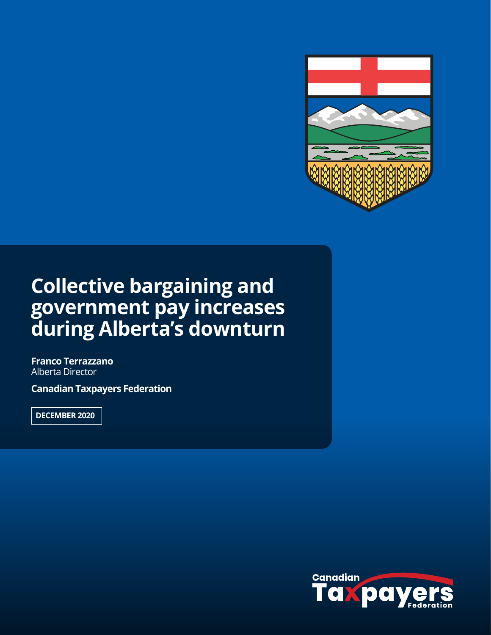

## **Collective bargaining and government pay increases during Alberta's downturn**

**Franco Terrazzano** Alberta Director

**Canadian Taxpayers Federation**

**DECEMBER 2020**

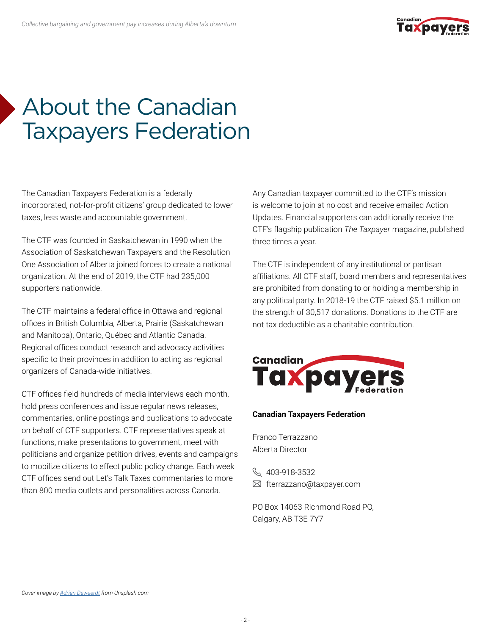

# About the Canadian Taxpayers Federation

The Canadian Taxpayers Federation is a federally incorporated, not-for-profit citizens' group dedicated to lower taxes, less waste and accountable government.

The CTF was founded in Saskatchewan in 1990 when the Association of Saskatchewan Taxpayers and the Resolution One Association of Alberta joined forces to create a national organization. At the end of 2019, the CTF had 235,000 supporters nationwide.

The CTF maintains a federal office in Ottawa and regional offices in British Columbia, Alberta, Prairie (Saskatchewan and Manitoba), Ontario, Québec and Atlantic Canada. Regional offices conduct research and advocacy activities specific to their provinces in addition to acting as regional organizers of Canada-wide initiatives.

CTF offices field hundreds of media interviews each month, hold press conferences and issue regular news releases, commentaries, online postings and publications to advocate on behalf of CTF supporters. CTF representatives speak at functions, make presentations to government, meet with politicians and organize petition drives, events and campaigns to mobilize citizens to effect public policy change. Each week CTF offices send out Let's Talk Taxes commentaries to more than 800 media outlets and personalities across Canada.

Any Canadian taxpayer committed to the CTF's mission is welcome to join at no cost and receive emailed Action Updates. Financial supporters can additionally receive the CTF's flagship publication *The Taxpayer* magazine, published three times a year.

The CTF is independent of any institutional or partisan affiliations. All CTF staff, board members and representatives are prohibited from donating to or holding a membership in any political party. In 2018-19 the CTF raised \$5.1 million on the strength of 30,517 donations. Donations to the CTF are not tax deductible as a charitable contribution.



#### **Canadian Taxpayers Federation**

Franco Terrazzano Alberta Director

\$403-918-3532 fterrazzano@taxpayer.com

PO Box 14063 Richmond Road PO, Calgary, AB T3E 7Y7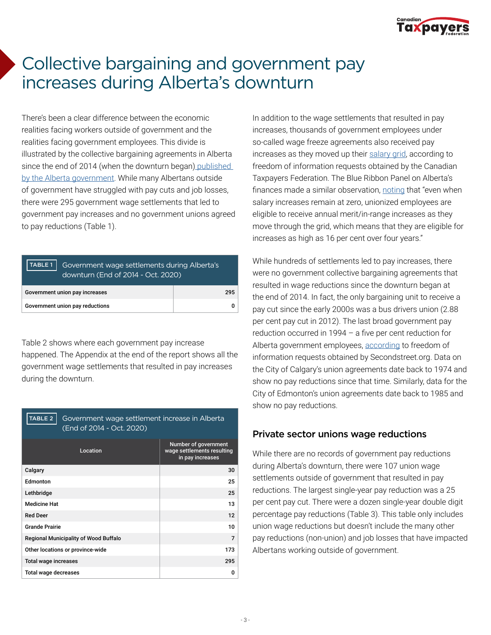

### Collective bargaining and government pay increases during Alberta's downturn

There's been a clear difference between the economic realities facing workers outside of government and the realities facing government employees. This divide is illustrated by the collective bargaining agreements in Alberta since the end of 2014 (when the downturn began) [published](https://open.alberta.ca/publications?q=title:%22bargaining+update%22&sort=date_modified+desc)  [by the Alberta government](https://open.alberta.ca/publications?q=title:%22bargaining+update%22&sort=date_modified+desc). While many Albertans outside of government have struggled with pay cuts and job losses, there were 295 government wage settlements that led to government pay increases and no government unions agreed to pay reductions (Table 1).

| Government wage settlements during Alberta's<br>TABLE 1<br>downturn (End of 2014 - Oct. 2020) |  |  |  |
|-----------------------------------------------------------------------------------------------|--|--|--|
| Government union pay increases<br>295                                                         |  |  |  |
| Government union pay reductions                                                               |  |  |  |

Table 2 shows where each government pay increase happened. The Appendix at the end of the report shows all the government wage settlements that resulted in pay increases during the downturn.

| TABLE 2<br>Government wage settlement increase in Alberta<br>(End of 2014 - Oct. 2020) |                                                                        |  |  |
|----------------------------------------------------------------------------------------|------------------------------------------------------------------------|--|--|
| Location                                                                               | Number of government<br>wage settlements resulting<br>in pay increases |  |  |
| Calgary                                                                                | 30                                                                     |  |  |
| Fdmonton                                                                               | 25                                                                     |  |  |
| Lethbridge                                                                             | 25                                                                     |  |  |
| <b>Medicine Hat</b>                                                                    | 13                                                                     |  |  |
| <b>Red Deer</b>                                                                        | 12                                                                     |  |  |
| <b>Grande Prairie</b>                                                                  | 10                                                                     |  |  |
| <b>Regional Municipality of Wood Buffalo</b>                                           | $\overline{7}$                                                         |  |  |
| Other locations or province-wide                                                       | 173                                                                    |  |  |
| <b>Total wage increases</b>                                                            | 295                                                                    |  |  |
| Total wage decreases                                                                   | O                                                                      |  |  |

In addition to the wage settlements that resulted in pay increases, thousands of government employees under so-called wage freeze agreements also received pay increases as they moved up their [salary grid](https://www.taxpayer.com/news-room-archive/A couple quick notes about government employee %22pay freezes%22 in Alberta...), according to freedom of information requests obtained by the Canadian Taxpayers Federation. The Blue Ribbon Panel on Alberta's finances made a similar observation, [noting](https://open.alberta.ca/dataset/081ba74d-95c8-43ab-9097-cef17a9fb59c/resource/257f040a-2645-49e7-b40b-462e4b5c059c/download/blue-ribbon-panel-report.pdf) that "even when salary increases remain at zero, unionized employees are eligible to receive annual merit/in-range increases as they move through the grid, which means that they are eligible for increases as high as 16 per cent over four years."

While hundreds of settlements led to pay increases, there were no government collective bargaining agreements that resulted in wage reductions since the downturn began at the end of 2014. In fact, the only bargaining unit to receive a pay cut since the early 2000s was a bus drivers union (2.88 per cent pay cut in 2012). The last broad government pay reduction occurred in 1994 – a five per cent reduction for Alberta government employees, [according](https://www.secondstreet.org/wp-content/uploads/2020/08/Policy-brief-%E2%80%93-The-last-government-pay-cut-Final.pdf) to freedom of information requests obtained by Secondstreet.org. Data on the City of Calgary's union agreements date back to 1974 and show no pay reductions since that time. Similarly, data for the City of Edmonton's union agreements date back to 1985 and show no pay reductions.

#### Private sector unions wage reductions

While there are no records of government pay reductions during Alberta's downturn, there were 107 union wage settlements outside of government that resulted in pay reductions. The largest single-year pay reduction was a 25 per cent pay cut. There were a dozen single-year double digit percentage pay reductions (Table 3). This table only includes union wage reductions but doesn't include the many other pay reductions (non-union) and job losses that have impacted Albertans working outside of government.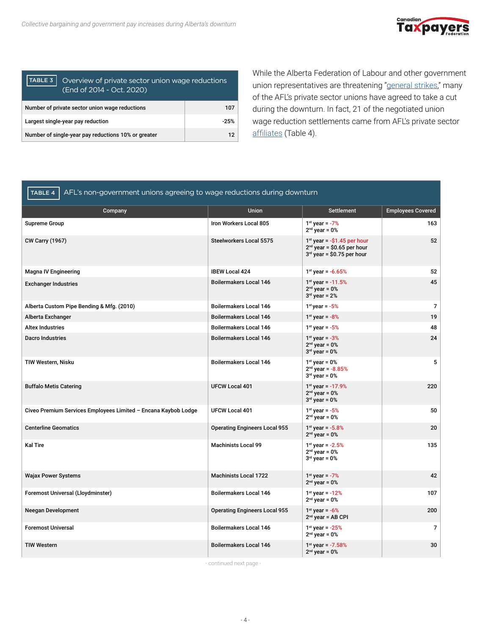

| TABLE 3<br>Overview of private sector union wage reductions<br>(End of 2014 - Oct. 2020) |        |  |
|------------------------------------------------------------------------------------------|--------|--|
| Number of private sector union wage reductions<br>107                                    |        |  |
| Largest single-year pay reduction                                                        | $-25%$ |  |
| Number of single-year pay reductions 10% or greater                                      | 12     |  |

While the Alberta Federation of Labour and other government union representatives are threatening ["general strikes,](https://www.standuptokenney.ca/)" many of the AFL's private sector unions have agreed to take a cut during the downturn. In fact, 21 of the negotiated union wage reduction settlements came from AFL's private sector [affiliates](https://www.afl.org/affiliates?page=1) (Table 4).

| AFL's non-government unions agreeing to wage reductions during downturn<br><b>TABLE 4</b> |                                      |                                                                                               |                          |  |
|-------------------------------------------------------------------------------------------|--------------------------------------|-----------------------------------------------------------------------------------------------|--------------------------|--|
| Company                                                                                   | <b>Union</b>                         | <b>Settlement</b>                                                                             | <b>Employees Covered</b> |  |
| <b>Supreme Group</b>                                                                      | Iron Workers Local 805               | $1st$ year = $-7%$<br>$2nd$ year = 0%                                                         | 163                      |  |
| <b>CW Carry (1967)</b>                                                                    | <b>Steelworkers Local 5575</b>       | $1st$ year = -\$1.45 per hour<br>$2nd$ year = \$0.65 per hour<br>$3rd$ year = \$0.75 per hour | 52                       |  |
| <b>Magna IV Engineering</b>                                                               | <b>IBEW Local 424</b>                | $1st$ year = -6.65%                                                                           | 52                       |  |
| <b>Exchanger Industries</b>                                                               | <b>Boilermakers Local 146</b>        | $1st$ year $-11.5%$<br>$2nd$ year = 0%<br>$3rd$ year = 2%                                     | 45                       |  |
| Alberta Custom Pipe Bending & Mfg. (2010)                                                 | <b>Boilermakers Local 146</b>        | $1st$ year = $-5%$                                                                            | $\overline{7}$           |  |
| Alberta Exchanger                                                                         | <b>Boilermakers Local 146</b>        | $1^{st}$ year = $-8\%$                                                                        | 19                       |  |
| <b>Altex Industries</b>                                                                   | <b>Boilermakers Local 146</b>        | $1^{st}$ year = $-5\%$                                                                        | 48                       |  |
| <b>Dacro Industries</b>                                                                   | <b>Boilermakers Local 146</b>        | $1st$ year = $-3%$<br>$2nd$ year = 0%<br>$3rd$ year = 0%                                      | 24                       |  |
| TIW Western, Nisku                                                                        | <b>Boilermakers Local 146</b>        | $1st$ year = 0%<br>$2nd$ year = -8.85%<br>$3rd$ year = 0%                                     | 5                        |  |
| <b>Buffalo Metis Catering</b>                                                             | <b>UFCW Local 401</b>                | $1st$ year = -17.9%<br>$2nd$ year = 0%<br>$3rd$ year = $0o$                                   | 220                      |  |
| Civeo Premium Services Employees Limited - Encana Kaybob Lodge                            | <b>UFCW Local 401</b>                | $1^{st}$ year = $-5\%$<br>$2nd$ year = 0%                                                     | 50                       |  |
| <b>Centerline Geomatics</b>                                                               | <b>Operating Engineers Local 955</b> | $1st$ year $-5.8%$<br>$2nd$ year = 0%                                                         | 20                       |  |
| <b>Kal Tire</b>                                                                           | <b>Machinists Local 99</b>           | $1st$ year = -2.5%<br>$2nd$ year = 0%<br>$3rd$ year = 0%                                      | 135                      |  |
| <b>Wajax Power Systems</b>                                                                | <b>Machinists Local 1722</b>         | $1^{st}$ year = $-7\%$<br>$2nd$ year = 0%                                                     | 42                       |  |
| Foremost Universal (Lloydminster)                                                         | <b>Boilermakers Local 146</b>        | $1st$ year = -12%<br>$2nd$ year = 0%                                                          | 107                      |  |
| Neegan Development                                                                        | <b>Operating Engineers Local 955</b> | $1^{st}$ year = -6%<br>$2nd$ year = AB CPI                                                    | 200                      |  |
| <b>Foremost Universal</b>                                                                 | <b>Boilermakers Local 146</b>        | $1st$ year $-25%$<br>$2nd$ year = 0%                                                          | 7                        |  |
| <b>TIW Western</b>                                                                        | <b>Boilermakers Local 146</b>        | $1st$ year $-7.58%$<br>$2nd$ year = 0%                                                        | 30                       |  |

- continued next page -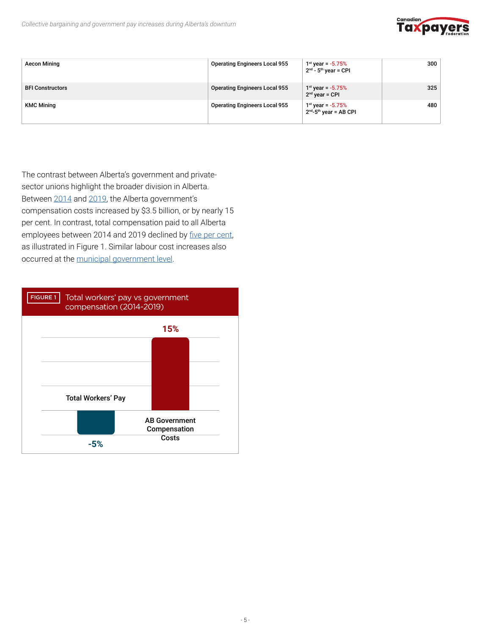

| <b>Aecon Mining</b>     | <b>Operating Engineers Local 955</b> | $1st$ year = -5.75%<br>$2nd - 5th$ vear = CPI    | 300 |
|-------------------------|--------------------------------------|--------------------------------------------------|-----|
| <b>BFI Constructors</b> | <b>Operating Engineers Local 955</b> | $1st$ year = $-5.75%$<br>$2nd$ year = CPI        | 325 |
| <b>KMC Mining</b>       | <b>Operating Engineers Local 955</b> | $1st$ year = $-5.75%$<br>$2nd-5th$ year = AB CPI | 480 |

The contrast between Alberta's government and privatesector unions highlight the broader division in Alberta. Between [2014](http://2014) and [2019,](https://open.alberta.ca/dataset/05bd4008-c8e3-4c84-949e-cc18170bc7f7/resource/79caa22e-e417-44bd-8cac-64d7bb045509/download/budget-2020-fiscal-plan-2020-23.pdf) the Alberta government's compensation costs increased by \$3.5 billion, or by nearly 15 per cent. In contrast, total compensation paid to all Alberta employees between 2014 and 2019 declined by [five per cent](https://www150.statcan.gc.ca/t1/tbl1/en/cv.action?pid=3610020501#timeframe), as illustrated in Figure 1. Similar labour cost increases also occurred at the [municipal government level](http://www.taxpayer.com/media/Municipal-Labour-Cost-Report.pdf).

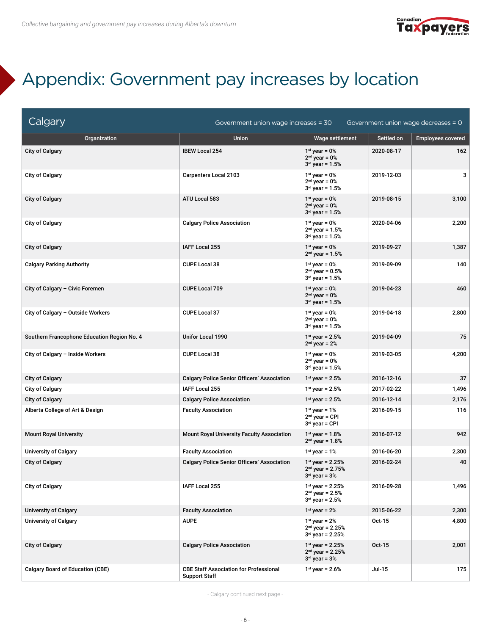

### Appendix: Government pay increases by location

| Calgary                                     | Government union wage increases = 30                                  |                                                                 |            | Government union wage decreases = 0 |
|---------------------------------------------|-----------------------------------------------------------------------|-----------------------------------------------------------------|------------|-------------------------------------|
| Organization                                | <b>Union</b>                                                          | Wage settlement                                                 | Settled on | <b>Employees covered</b>            |
| <b>City of Calgary</b>                      | <b>IBEW Local 254</b>                                                 | $1st$ year = 0%<br>$2nd$ vear = $0o$<br>$3rd$ year = $1.5%$     | 2020-08-17 | 162                                 |
| <b>City of Calgary</b>                      | <b>Carpenters Local 2103</b>                                          | $1st$ year = 0%<br>$2nd$ year = 0%<br>$3rd$ year = $1.5%$       | 2019-12-03 | 3                                   |
| <b>City of Calgary</b>                      | ATU Local 583                                                         | $1st$ year = 0%<br>$2nd$ year = 0%<br>$3^{rd}$ year = $1.5%$    | 2019-08-15 | 3,100                               |
| <b>City of Calgary</b>                      | <b>Calgary Police Association</b>                                     | $1st$ year = 0%<br>$2nd$ year = 1.5%<br>$3^{rd}$ year = 1.5%    | 2020-04-06 | 2,200                               |
| <b>City of Calgary</b>                      | <b>IAFF Local 255</b>                                                 | $1st$ year = 0%<br>$2nd$ year = 1.5%                            | 2019-09-27 | 1,387                               |
| <b>Calgary Parking Authority</b>            | <b>CUPE Local 38</b>                                                  | $1st$ year = 0%<br>$2nd$ year = 0.5%<br>$3rd$ vear = 1.5%       | 2019-09-09 | 140                                 |
| City of Calgary - Civic Foremen             | <b>CUPE Local 709</b>                                                 | $1st$ year = 0%<br>$2nd$ year = 0%<br>$3^{rd}$ year = $1.5%$    | 2019-04-23 | 460                                 |
| City of Calgary - Outside Workers           | CUPE Local 37                                                         | $1st$ year = 0%<br>$2nd$ year = 0%<br>$3rd$ year = 1.5%         | 2019-04-18 | 2,800                               |
| Southern Francophone Education Region No. 4 | Unifor Local 1990                                                     | $1st$ year = 2.5%<br>$2nd$ year = 2%                            | 2019-04-09 | 75                                  |
| City of Calgary - Inside Workers            | <b>CUPE Local 38</b>                                                  | $1st$ year = 0%<br>$2nd$ year = 0%<br>$3^{rd}$ year = 1.5%      | 2019-03-05 | 4,200                               |
| <b>City of Calgary</b>                      | <b>Calgary Police Senior Officers' Association</b>                    | $1st$ year = 2.5%                                               | 2016-12-16 | 37                                  |
| <b>City of Calgary</b>                      | <b>IAFF Local 255</b>                                                 | $1st$ year = 2.5%                                               | 2017-02-22 | 1,496                               |
| <b>City of Calgary</b>                      | <b>Calgary Police Association</b>                                     | $1^{st}$ year = 2.5%                                            | 2016-12-14 | 2,176                               |
| Alberta College of Art & Design             | <b>Faculty Association</b>                                            | $1st$ year = 1%<br>$2nd$ year = CPI<br>$3rd$ year = CPI         | 2016-09-15 | 116                                 |
| <b>Mount Royal University</b>               | Mount Royal University Faculty Association                            | $1st$ year = 1.8%<br>$2nd$ year = 1.8%                          | 2016-07-12 | 942                                 |
| <b>University of Calgary</b>                | <b>Faculty Association</b>                                            | $1st$ year = 1%                                                 | 2016-06-20 | 2,300                               |
| <b>City of Calgary</b>                      | <b>Calgary Police Senior Officers' Association</b>                    | $1st$ year = 2.25%<br>$2nd$ year = 2.75%<br>$3rd$ year = $3%$   | 2016-02-24 | 40                                  |
| <b>City of Calgary</b>                      | IAFF Local 255                                                        | $1st$ year = 2.25%<br>$2^{nd}$ year = 2.5%<br>$3rd$ year = 2.5% | 2016-09-28 | 1,496                               |
| <b>University of Calgary</b>                | <b>Faculty Association</b>                                            | $1st$ year = 2%                                                 | 2015-06-22 | 2,300                               |
| <b>University of Calgary</b>                | <b>AUPE</b>                                                           | $1st$ year = 2%<br>$2nd$ year = 2.25%<br>$3rd$ year = 2.25%     | Oct-15     | 4,800                               |
| <b>City of Calgary</b>                      | <b>Calgary Police Association</b>                                     | $1st$ year = 2.25%<br>$2nd$ year = 2.25%<br>$3rd$ year = $3%$   | Oct-15     | 2,001                               |
| <b>Calgary Board of Education (CBE)</b>     | <b>CBE Staff Association for Professional</b><br><b>Support Staff</b> | $1st$ year = 2.6%                                               | Jul-15     | 175                                 |

- Calgary continued next page -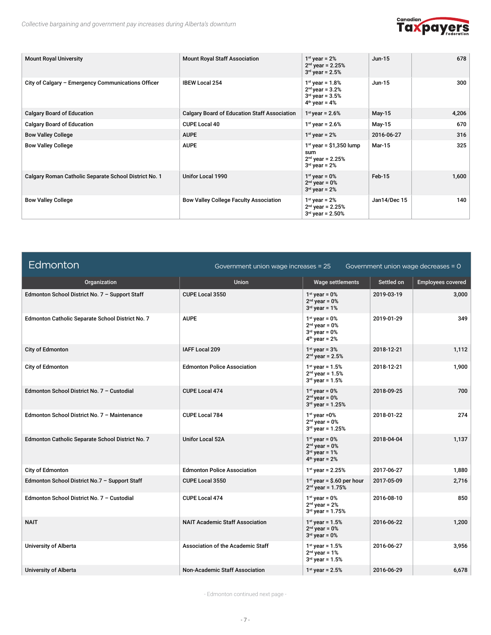

| <b>Mount Royal University</b>                         | <b>Mount Royal Staff Association</b>                | $1st$ year = 2%<br>$2nd$ year = 2.25%<br>$3rd$ year = 2.5%                       | $Jun-15$     | 678   |
|-------------------------------------------------------|-----------------------------------------------------|----------------------------------------------------------------------------------|--------------|-------|
| City of Calgary - Emergency Communications Officer    | <b>IBEW Local 254</b>                               | $1st$ year = 1.8%<br>$2nd$ year = 3.2%<br>$3rd$ year = 3.5%<br>$4th$ year = $4o$ | $Jun-15$     | 300   |
| <b>Calgary Board of Education</b>                     | <b>Calgary Board of Education Staff Association</b> | $1st$ year = 2.6%                                                                | May-15       | 4,206 |
| <b>Calgary Board of Education</b>                     | <b>CUPE Local 40</b>                                | $1st$ year = 2.6%                                                                | May-15       | 670   |
| <b>Bow Valley College</b>                             | <b>AUPE</b>                                         | $1st$ year = 2%                                                                  | 2016-06-27   | 316   |
| <b>Bow Valley College</b>                             | <b>AUPE</b>                                         | $1st$ year = \$1,350 lump<br>sum<br>$2nd$ year = 2.25%<br>$3rd$ year = 2%        | Mar-15       | 325   |
| Calgary Roman Catholic Separate School District No. 1 | Unifor Local 1990                                   | $1st$ year = 0%<br>$2nd$ year = $0o$<br>$3rd$ year = 2%                          | Feb-15       | 1,600 |
| <b>Bow Valley College</b>                             | <b>Bow Valley College Faculty Association</b>       | $1st$ year = 2%<br>$2nd$ year = 2.25%<br>$3rd$ year = 2.50%                      | Jan14/Dec 15 | 140   |

| Edmonton                                         | Government union wage increases = 25   |                                                                          |            | Government union wage decreases = 0 |
|--------------------------------------------------|----------------------------------------|--------------------------------------------------------------------------|------------|-------------------------------------|
| Organization                                     | <b>Union</b>                           | Wage settlements                                                         | Settled on | <b>Employees covered</b>            |
| Edmonton School District No. 7 - Support Staff   | CUPE Local 3550                        | $1st$ vear = 0%<br>$2nd$ year = 0%<br>$3rd$ year = 1%                    | 2019-03-19 | 3,000                               |
| Edmonton Catholic Separate School District No. 7 | <b>AUPE</b>                            | $1st$ year = 0%<br>$2nd$ year = 0%<br>$3rd$ year = 0%<br>$4th$ year = 2% | 2019-01-29 | 349                                 |
| City of Edmonton                                 | <b>IAFF Local 209</b>                  | $1st$ vear = $3o$<br>$2nd$ year = 2.5%                                   | 2018-12-21 | 1,112                               |
| City of Edmonton                                 | <b>Edmonton Police Association</b>     | $1^{st}$ year = $1.5%$<br>$2nd$ year = 1.5%<br>$3rd$ year = $1.5%$       | 2018-12-21 | 1,900                               |
| Edmonton School District No. 7 - Custodial       | <b>CUPE Local 474</b>                  | $1st$ year = 0%<br>$2nd$ year = 0%<br>$3rd$ year = 1.25%                 | 2018-09-25 | 700                                 |
| Edmonton School District No. 7 - Maintenance     | <b>CUPE Local 784</b>                  | $1st$ year = 0%<br>$2nd$ year = 0%<br>$3rd$ year = 1.25%                 | 2018-01-22 | 274                                 |
| Edmonton Catholic Separate School District No. 7 | <b>Unifor Local 52A</b>                | $1st$ year = 0%<br>$2nd$ vear = 0%<br>$3rd$ year = 1%<br>$4th$ year = 2% | 2018-04-04 | 1,137                               |
| City of Edmonton                                 | <b>Edmonton Police Association</b>     | $1st$ year = 2.25%                                                       | 2017-06-27 | 1,880                               |
| Edmonton School District No.7 - Support Staff    | <b>CUPE Local 3550</b>                 | $1st$ year = \$.60 per hour<br>$2nd$ year = 1.75%                        | 2017-05-09 | 2,716                               |
| Edmonton School District No. 7 - Custodial       | CUPE Local 474                         | $1st$ vear = 0%<br>$2nd$ year = 2%<br>$3rd$ year = 1.75%                 | 2016-08-10 | 850                                 |
| <b>NAIT</b>                                      | <b>NAIT Academic Staff Association</b> | $1^{st}$ year = $1.5%$<br>$2nd$ year = 0%<br>$3rd$ year = 0%             | 2016-06-22 | 1,200                               |
| <b>University of Alberta</b>                     | Association of the Academic Staff      | $1st$ year = 1.5%<br>$2nd$ year = 1%<br>$3^{rd}$ year = $1.5%$           | 2016-06-27 | 3,956                               |
| <b>University of Alberta</b>                     | <b>Non-Academic Staff Association</b>  | $1st$ year = 2.5%                                                        | 2016-06-29 | 6,678                               |

- Edmonton continued next page -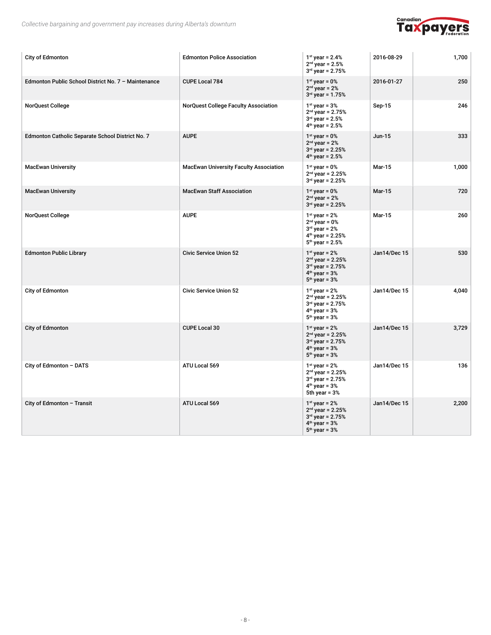

| City of Edmonton                                    | <b>Edmonton Police Association</b>            | $1st$ year = 2.4%<br>$2nd$ year = 2.5%<br>$3rd$ year = 2.75%                                          | 2016-08-29    | 1,700 |
|-----------------------------------------------------|-----------------------------------------------|-------------------------------------------------------------------------------------------------------|---------------|-------|
| Edmonton Public School District No. 7 - Maintenance | CUPE Local 784                                | $1st$ year = 0%<br>$2nd$ year = 2%<br>$3rd$ year = 1.75%                                              | 2016-01-27    | 250   |
| <b>NorQuest College</b>                             | <b>NorQuest College Faculty Association</b>   | $1st$ year = $3o$<br>$2nd$ year = 2.75%<br>$3rd$ year = 2.5%<br>$4th$ year = 2.5%                     | Sep-15        | 246   |
| Edmonton Catholic Separate School District No. 7    | <b>AUPE</b>                                   | $1st$ year = 0%<br>$2nd$ year = 2%<br>$3rd$ year = 2.25%<br>$4th$ year = 2.5%                         | $Jun-15$      | 333   |
| <b>MacEwan University</b>                           | <b>MacEwan University Faculty Association</b> | $1st$ year = 0%<br>$2nd$ year = 2.25%<br>$3^{rd}$ year = 2.25%                                        | Mar-15        | 1,000 |
| <b>MacEwan University</b>                           | <b>MacEwan Staff Association</b>              | $1st$ year = 0%<br>$2nd$ year = 2%<br>$3rd$ year = 2.25%                                              | <b>Mar-15</b> | 720   |
| <b>NorQuest College</b>                             | <b>AUPE</b>                                   | $1st$ year = 2%<br>$2nd$ year = 0%<br>$3rd$ year = 2%<br>$4th$ year = 2.25%<br>$5th$ year = 2.5%      | Mar-15        | 260   |
| <b>Edmonton Public Library</b>                      | <b>Civic Service Union 52</b>                 | $1st$ year = 2%<br>$2nd$ year = 2.25%<br>$3rd$ year = 2.75%<br>$4th$ year = 3%<br>$5th$ year = $3%$   | Jan14/Dec 15  | 530   |
| City of Edmonton                                    | <b>Civic Service Union 52</b>                 | $1st$ year = 2%<br>$2nd$ year = 2.25%<br>$3rd$ year = 2.75%<br>$4th$ year = $3%$<br>$5th$ year = 3%   | Jan14/Dec 15  | 4,040 |
| City of Edmonton                                    | <b>CUPE Local 30</b>                          | $1st$ year = 2%<br>$2nd$ year = 2.25%<br>$3rd$ year = 2.75%<br>$4th$ year = $3%$<br>$5th$ year = $3%$ | Jan14/Dec 15  | 3,729 |
| City of Edmonton - DATS                             | ATU Local 569                                 | $1st$ year = 2%<br>$2nd$ year = 2.25%<br>$3rd$ year = 2.75%<br>$4th$ year = 3%<br>5th year = $3%$     | Jan14/Dec 15  | 136   |
| City of Edmonton - Transit                          | ATU Local 569                                 | $1st$ year = 2%<br>$2nd$ year = 2.25%<br>$3rd$ year = 2.75%<br>$4th$ year = $3%$<br>$5th$ year = 3%   | Jan14/Dec 15  | 2,200 |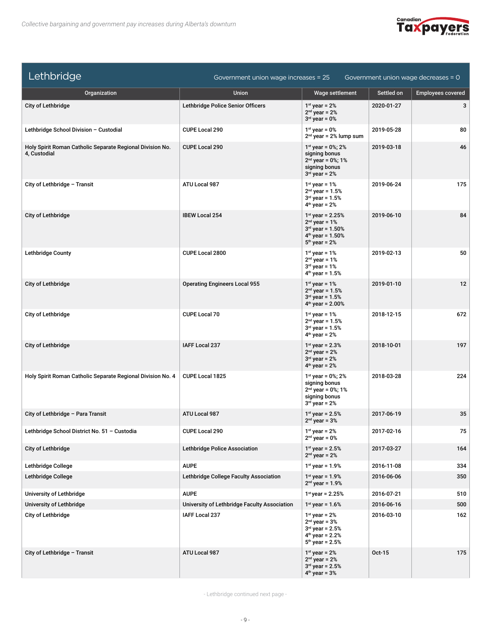

| Lethbridge                                                                | Government union wage increases = 25         |                                                                                                         |            | Government union wage decreases $= 0$ |
|---------------------------------------------------------------------------|----------------------------------------------|---------------------------------------------------------------------------------------------------------|------------|---------------------------------------|
| Organization                                                              | <b>Union</b>                                 | Wage settlement                                                                                         | Settled on | <b>Employees covered</b>              |
| City of Lethbridge                                                        | Lethbridge Police Senior Officers            | $1st$ year = 2%<br>$2nd$ year = 2%<br>$3rd$ year = 0%                                                   | 2020-01-27 | 3                                     |
| Lethbridge School Division - Custodial                                    | CUPE Local 290                               | $1st$ year = 0%<br>$2nd$ year = 2% lump sum                                                             | 2019-05-28 | 80                                    |
| Holy Spirit Roman Catholic Separate Regional Division No.<br>4, Custodial | <b>CUPE Local 290</b>                        | $1st$ year = 0%; 2%<br>signing bonus<br>$2nd$ year = 0%; 1%<br>signing bonus<br>$3rd$ year = 2%         | 2019-03-18 | 46                                    |
| City of Lethbridge - Transit                                              | ATU Local 987                                | $1st$ year = 1%<br>$2nd$ year = 1.5%<br>$3rd$ year = 1.5%<br>$4th$ year = 2%                            | 2019-06-24 | 175                                   |
| City of Lethbridge                                                        | <b>IBEW Local 254</b>                        | $1st$ year = 2.25%<br>$2nd$ year = 1%<br>$3^{rd}$ year = 1.50%<br>$4th$ year = 1.50%<br>$5th$ year = 2% | 2019-06-10 | 84                                    |
| <b>Lethbridge County</b>                                                  | CUPE Local 2800                              | $1st$ year = 1%<br>$2nd$ year = 1%<br>$3rd$ year = 1%<br>$4th$ year = 1.5%                              | 2019-02-13 | 50                                    |
| City of Lethbridge                                                        | <b>Operating Engineers Local 955</b>         | $1st$ year = 1%<br>$2nd$ year = 1.5%<br>$3rd$ year = 1.5%<br>$4th$ year = 2.00%                         | 2019-01-10 | 12                                    |
| City of Lethbridge                                                        | <b>CUPE Local 70</b>                         | $1st$ year = 1%<br>$2^{nd}$ year = 1.5%<br>$3rd$ year = $1.5%$<br>$4th$ year = 2%                       | 2018-12-15 | 672                                   |
| <b>City of Lethbridge</b>                                                 | IAFF Local 237                               | $1^{st}$ year = 2.3%<br>$2nd$ year = 2%<br>$3rd$ year = 2%<br>$4th$ year = 2%                           | 2018-10-01 | 197                                   |
| Holy Spirit Roman Catholic Separate Regional Division No. 4               | CUPE Local 1825                              | $1st$ year = 0%; 2%<br>signing bonus<br>$2nd$ year = 0%; 1%<br>signing bonus<br>$3rd$ year = 2%         | 2018-03-28 | 224                                   |
| City of Lethbridge - Para Transit                                         | ATU Local 987                                | $1st$ year = 2.5%<br>$2nd$ year = $3%$                                                                  | 2017-06-19 | 35                                    |
| Lethbridge School District No. 51 - Custodia                              | <b>CUPE Local 290</b>                        | $1st$ year = 2%<br>$2nd$ year = 0%                                                                      | 2017-02-16 | 75                                    |
| City of Lethbridge                                                        | <b>Lethbridge Police Association</b>         | $1^{st}$ year = 2.5%<br>$2nd$ year = 2%                                                                 | 2017-03-27 | 164                                   |
| Lethbridge College                                                        | <b>AUPE</b>                                  | $1st$ year = 1.9%                                                                                       | 2016-11-08 | 334                                   |
| Lethbridge College                                                        | Lethbridge College Faculty Association       | $1^{st}$ vear = 1.9%<br>$2nd$ year = 1.9%                                                               | 2016-06-06 | 350                                   |
| University of Lethbridge                                                  | <b>AUPE</b>                                  | $1st$ year = 2.25%                                                                                      | 2016-07-21 | 510                                   |
| University of Lethbridge                                                  | University of Lethbridge Faculty Association | $1^{st}$ year = 1.6%                                                                                    | 2016-06-16 | 500                                   |
| <b>City of Lethbridge</b>                                                 | <b>IAFF Local 237</b>                        | $1st$ year = 2%<br>$2nd$ year = $3%$<br>$3rd$ year = 2.5%<br>$4th$ year = 2.2%<br>$5th$ year = 2.5%     | 2016-03-10 | 162                                   |
| City of Lethbridge - Transit                                              | ATU Local 987                                | $1st$ year = 2%<br>$2nd$ year = 2%<br>$3rd$ year = 2.5%<br>$4th$ year = $3%$                            | Oct-15     | 175                                   |

- Lethbridge continued next page -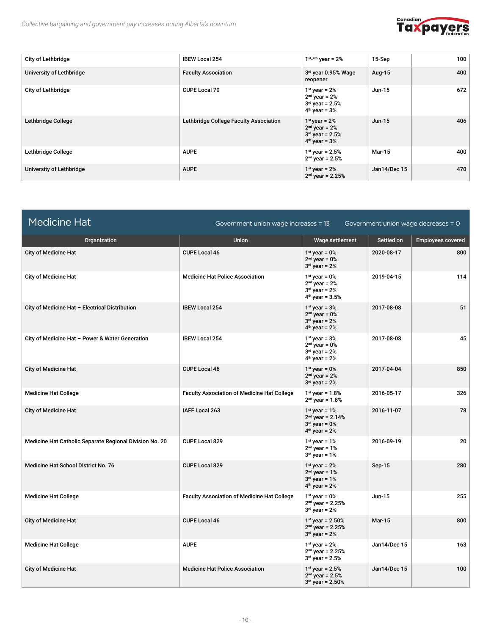

| <b>City of Lethbridge</b> | <b>IBEW Local 254</b>                  | $1^{st_4th}$ year = 2%                                                     | 15-Sep        | 100 |
|---------------------------|----------------------------------------|----------------------------------------------------------------------------|---------------|-----|
| University of Lethbridge  | <b>Faculty Association</b>             | 3rd year 0.95% Wage<br>reopener                                            | Aug-15        | 400 |
| City of Lethbridge        | <b>CUPE Local 70</b>                   | $1st$ year = 2%<br>$2nd$ year = 2%<br>$3rd$ year = 2.5%<br>$4th$ year = 3% | Jun-15        | 672 |
| Lethbridge College        | Lethbridge College Faculty Association | $1st$ year = 2%<br>$2nd$ year = 2%<br>$3rd$ year = 2.5%<br>$4th$ year = 3% | $Jun-15$      | 406 |
| Lethbridge College        | <b>AUPE</b>                            | $1st$ year = 2.5%<br>$2nd$ year = 2.5%                                     | <b>Mar-15</b> | 400 |
| University of Lethbridge  | <b>AUPE</b>                            | $1st$ year = 2%<br>$2nd$ year = 2.25%                                      | Jan14/Dec 15  | 470 |

| <b>Medicine Hat</b>                                     | Government union wage increases = 13               |                                                                              |               | Government union wage decreases = $0$ |
|---------------------------------------------------------|----------------------------------------------------|------------------------------------------------------------------------------|---------------|---------------------------------------|
| Organization                                            | <b>Union</b>                                       | Wage settlement                                                              | Settled on    | <b>Employees covered</b>              |
| <b>City of Medicine Hat</b>                             | <b>CUPE Local 46</b>                               | $1st$ year = 0%<br>$2nd$ year = 0%<br>$3rd$ year = 2%                        | 2020-08-17    | 800                                   |
| <b>City of Medicine Hat</b>                             | <b>Medicine Hat Police Association</b>             | $1st$ vear = 0%<br>$2nd$ year = $2%$<br>$3rd$ year = 2%<br>$4th$ year = 3.5% | 2019-04-15    | 114                                   |
| City of Medicine Hat - Electrical Distribution          | <b>IBEW Local 254</b>                              | $1st$ year = $3o$<br>$2nd$ year = 0%<br>$3rd$ year = 2%<br>$4th$ year = 2%   | 2017-08-08    | 51                                    |
| City of Medicine Hat - Power & Water Generation         | <b>IBEW Local 254</b>                              | $1st$ year = $3o$<br>$2nd$ year = 0%<br>$3rd$ year = 2%<br>$4th$ year = 2%   | 2017-08-08    | 45                                    |
| <b>City of Medicine Hat</b>                             | <b>CUPE Local 46</b>                               | $1st$ year = 0%<br>$2nd$ year = $2%$<br>$3rd$ year = 2%                      | 2017-04-04    | 850                                   |
| <b>Medicine Hat College</b>                             | <b>Faculty Association of Medicine Hat College</b> | $1^{st}$ year = $1.8%$<br>$2nd$ year = 1.8%                                  | 2016-05-17    | 326                                   |
| <b>City of Medicine Hat</b>                             | IAFF Local 263                                     | $1st$ year = 1%<br>$2nd$ year = 2.14%<br>$3rd$ vear = 0%<br>$4th$ year = 2%  | 2016-11-07    | 78                                    |
| Medicine Hat Catholic Separate Regional Division No. 20 | <b>CUPE Local 829</b>                              | $1st$ year = $1o$<br>$2nd$ year = 1%<br>$3rd$ year = 1%                      | 2016-09-19    | 20                                    |
| <b>Medicine Hat School District No. 76</b>              | <b>CUPE Local 829</b>                              | $1st$ vear = 2%<br>$2nd$ year = 1%<br>$3rd$ year = 1%<br>$4th$ year = 2%     | Sep-15        | 280                                   |
| <b>Medicine Hat College</b>                             | <b>Faculty Association of Medicine Hat College</b> | $1st$ year = 0%<br>$2nd$ year = 2.25%<br>$3rd$ year = 2%                     | Jun-15        | 255                                   |
| <b>City of Medicine Hat</b>                             | <b>CUPE Local 46</b>                               | $1^{st}$ year = 2.50%<br>$2nd$ year = 2.25%<br>$3rd$ year = 2%               | <b>Mar-15</b> | 800                                   |
| <b>Medicine Hat College</b>                             | <b>AUPE</b>                                        | $1st$ year = 2%<br>$2nd$ year = 2.25%<br>$3rd$ year = 2.5%                   | Jan14/Dec 15  | 163                                   |
| <b>City of Medicine Hat</b>                             | <b>Medicine Hat Police Association</b>             | $1^{st}$ year = 2.5%<br>$2^{nd}$ year = 2.5%<br>$3rd$ year = 2.50%           | Jan14/Dec 15  | 100                                   |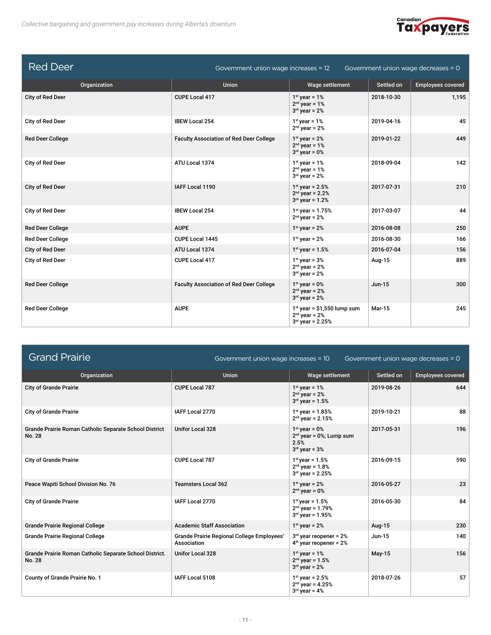

| <b>Red Deer</b>         | Government union wage increases = 12<br>Government union wage decreases = 0 |                                                                        |               |                          |
|-------------------------|-----------------------------------------------------------------------------|------------------------------------------------------------------------|---------------|--------------------------|
| Organization            | <b>Union</b>                                                                | Wage settlement                                                        | Settled on    | <b>Employees covered</b> |
| City of Red Deer        | <b>CUPE Local 417</b>                                                       | $1st$ year = $1o$<br>$2nd$ year = 1%<br>$3rd$ year = 2%                | 2018-10-30    | 1,195                    |
| City of Red Deer        | <b>IBEW Local 254</b>                                                       | $1st$ year = 1%<br>$2nd$ year = 2%                                     | 2019-04-16    | 45                       |
| <b>Red Deer College</b> | <b>Faculty Association of Red Deer College</b>                              | $1st$ year = 2%<br>$2nd$ year = 1%<br>$3rd$ year = 0%                  | 2019-01-22    | 449                      |
| City of Red Deer        | ATU Local 1374                                                              | $1st$ vear = $1o$<br>$2nd$ year = 1%<br>$3rd$ year = 2%                | 2018-09-04    | 142                      |
| City of Red Deer        | IAFF Local 1190                                                             | $1st$ year = 2.5%<br>$2nd$ year = 2.2%<br>$3rd$ year = 1.2%            | 2017-07-31    | 210                      |
| City of Red Deer        | <b>IBEW Local 254</b>                                                       | $1st$ year = 1.75%<br>$2nd$ year = 2%                                  | 2017-03-07    | 44                       |
| <b>Red Deer College</b> | <b>AUPE</b>                                                                 | $1st$ year = 2%                                                        | 2016-08-08    | 250                      |
| <b>Red Deer College</b> | CUPE Local 1445                                                             | $1st$ year = 2%                                                        | 2016-08-30    | 166                      |
| City of Red Deer        | ATU Local 1374                                                              | $1^{st}$ year = $1.5%$                                                 | 2016-07-04    | 156                      |
| City of Red Deer        | <b>CUPE Local 417</b>                                                       | $1st$ year = $3o$<br>$2nd$ year = 2%<br>$3rd$ year = 2%                | Aug-15        | 889                      |
| <b>Red Deer College</b> | <b>Faculty Association of Red Deer College</b>                              | $1st$ year = 0%<br>$2nd$ year = 2%<br>$3rd$ year = 2%                  | $Jun-15$      | 300                      |
| <b>Red Deer College</b> | <b>AUPE</b>                                                                 | $1st$ year = \$1,550 lump sum<br>$2nd$ year = 2%<br>$3rd$ year = 2.25% | <b>Mar-15</b> | 245                      |

| <b>Grand Prairie</b>                                              | Government union wage increases = 10<br>Government union wage decreases = 0 |                                                                           |               |                          |  |
|-------------------------------------------------------------------|-----------------------------------------------------------------------------|---------------------------------------------------------------------------|---------------|--------------------------|--|
| Organization                                                      | <b>Union</b>                                                                | Wage settlement                                                           | Settled on    | <b>Employees covered</b> |  |
| <b>City of Grande Prairie</b>                                     | <b>CUPE Local 787</b>                                                       | $1st$ year = 1%<br>$2nd$ year = 2%<br>$3rd$ year = 1.5%                   | 2019-08-26    | 644                      |  |
| <b>City of Grande Prairie</b>                                     | IAFF Local 2770                                                             | $1st$ year = 1.85%<br>$2nd$ year = 2.15%                                  | 2019-10-21    | 88                       |  |
| Grande Prairie Roman Catholic Separate School District<br>No. 28  | <b>Unifor Local 328</b>                                                     | $1st$ year = 0%<br>$2nd$ year = 0%; Lump sum<br>2.5%<br>$3rd$ year = $3%$ | 2017-05-31    | 196                      |  |
| <b>City of Grande Prairie</b>                                     | <b>CUPE Local 787</b>                                                       | $1st$ year = 1.5%<br>$2nd$ year = 1.8%<br>$3rd$ year = 2.25%              | 2016-09-15    | 590                      |  |
| Peace Wapiti School Division No. 76                               | <b>Teamsters Local 362</b>                                                  | $1st$ year = 2%<br>$2nd$ year = 0%                                        | 2016-05-27    | 23                       |  |
| <b>City of Grande Prairie</b>                                     | IAFF Local 2770                                                             | $1st$ year = 1.5%<br>$2nd$ year = 1.79%<br>$3rd$ year = 1.95%             | 2016-05-30    | 84                       |  |
| <b>Grande Prairie Regional College</b>                            | <b>Academic Staff Association</b>                                           | $1st$ year = 2%                                                           | Aug-15        | 230                      |  |
| <b>Grande Prairie Regional College</b>                            | Grande Prairie Regional College Employees'<br>Association                   | $3rd$ year reopener = 2%<br>$4th$ year reopener = 2%                      | <b>Jun-15</b> | 140                      |  |
| Grande Prairie Roman Catholic Separate School District.<br>No. 28 | <b>Unifor Local 328</b>                                                     | $1st$ year = 1%<br>$2nd$ year = 1.5%<br>$3rd$ year = 2%                   | May-15        | 156                      |  |
| County of Grande Prairie No. 1                                    | IAFF Local 5108                                                             | $1st$ year = 2.5%<br>$2nd$ year = 4.25%<br>$3rd$ year = 4%                | 2018-07-26    | 57                       |  |